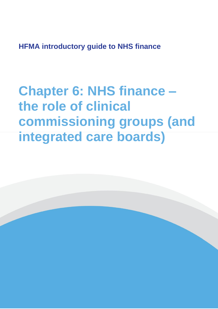**HFMA introductory guide to NHS finance**

**Chapter 6: NHS finance – the role of clinical commissioning groups (and integrated care boards)**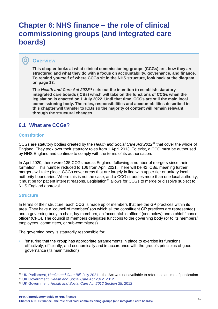# **Chapter 6: NHS finance – the role of clinical commissioning groups (and integrated care boards)**

# **Overview**

 $\bullet$ 

**This chapter looks at what clinical commissioning groups (CCGs) are, how they are structured and what they do with a focus on accountability, governance, and finance. To remind yourself of where CCGs sit in the NHS structure, look back at the diagram on page 13.**

**The** *Health and Care Act 2022<sup>61</sup>* **sets out the intention to establish statutory integrated care boards (ICBs) which will take on the functions of CCGs when the legislation is enacted on 1 July 2022. Until that time, CCGs are still the main local commissioning body. The roles, responsibilities and accountabilities described in this chapter will transfer to ICBs so the majority of content will remain relevant through the structural changes.**

# **6.1 What are CCGs?**

### **Constitution**

CCGs are statutory bodies created by the *Health and Social Care Act 2012*<sup>62</sup> that cover the whole of England. They took over their statutory roles from 1 April 2013. To exist, a CCG must be authorised by NHS England and continue to comply with the terms of its authorisation.

In April 2020, there were 135 CCGs across England, following a number of mergers since their formation. This number reduced to 106 from April 2021. There will be 42 ICBs, meaning further mergers will take place. CCGs cover areas that are largely in line with upper tier or unitary local authority boundaries. Where this is not the case, and a CCG straddles more than one local authority, it must be for patient interest reasons. Legislation<sup>63</sup> allows for CCGs to merge or dissolve subject to NHS England approval.

### **Structure**

In terms of their structure, each CCG is made up of members that are the GP practices within its area. They have a 'council of members' (on which all the constituent GP practices are represented) and a governing body; a chair, lay members, an 'accountable officer' (see below) and a chief finance officer (CFO). The council of members delegates functions to the governing body (or to its members/ employees, committees, or sub-committees).

The governing body is statutorily responsible for:

• 'ensuring that the group has appropriate arrangements in place to exercise its functions effectively, efficiently, and economically and in accordance with the group's principles of good governance (its main function)

**HFMA introductory guide to NHS finance Chapter 6: NHS finance - the role of clinical commissioning groups (and integrated care boards)** <sup>51</sup>

<sup>61</sup> UK Parliament, *[Health and Care Bill](https://bills.parliament.uk/bills/3022)*, July 2021 – the Act was not available to reference at time of publication

<sup>62</sup> UK Government, *[Health and Social Care Act 2012,](https://www.legislation.gov.uk/ukpga/2012/7/contents/enacted)* 2012

<sup>63</sup> UK Government, *[Health and Social Care Act 2012](https://www.legislation.gov.uk/ukpga/2012/7/section/25/enacted) Section 25,* 2012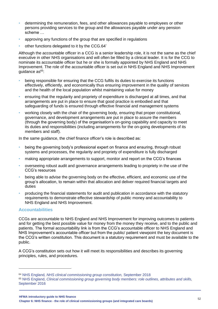- determining the remuneration, fees, and other allowances payable to employees or other persons providing services to the group and the allowances payable under any pension scheme …
- approving any functions of the group that are specified in regulations
- other functions delegated to it by the CCG.64'

Although the accountable officer in a CCG is a senior leadership role, it is not the same as the chief executive in other NHS organisations and will often be filled by a clinical leader. It is for the CCG to nominate its accountable officer but he or she is formally appointed by NHS England and NHS Improvement. The role of the accountable officer is set out in NHS England and NHS Improvement quidance  $as<sup>65</sup>$ :

- being responsible for ensuring that the CCG fulfils its duties to exercise its functions effectively, efficiently, and economically thus ensuring improvement in the quality of services and the health of the local population whilst maintaining value for money
- ensuring that the regularity and propriety of expenditure is discharged at all times, and that arrangements are put in place to ensure that good practice is embodied and that safeguarding of funds is ensured through effective financial and management systems
- working closely with the chair of the governing body, ensuring that proper constitutional, governance, and development arrangements are put in place to assure the members (through the governing body) of the organisation's on-going capability and capacity to meet its duties and responsibilities (including arrangements for the on-going developments of its members and staff).

In the same guidance, the chief finance officer's role is described as:

- being the governing body's professional expert on finance and ensuring, through robust systems and processes, the regularity and propriety of expenditure is fully discharged
- making appropriate arrangements to support, monitor and report on the CCG's finances
- overseeing robust audit and governance arrangements leading to propriety in the use of the CCG's resources
- being able to advise the governing body on the effective, efficient, and economic use of the group's allocation, to remain within that allocation and deliver required financial targets and duties
- producing the financial statements for audit and publication in accordance with the statutory requirements to demonstrate effective stewardship of public money and accountability to NHS England and NHS Improvement.

### **Accountabilities**

CCGs are accountable to NHS England and NHS Improvement for improving outcomes to patients and for getting the best possible value for money from the money they receive, and to the public and patients. The formal accountability link is from the CCG's accountable officer to NHS England and NHS Improvement's accountable officer but from the public/ patient viewpoint the key document is the CCG's written constitution. This document is a statutory requirement and must be available to the public.

A CCG's constitution sets out how it will meet its responsibilities and describes its governing principles, rules, and procedures.

<sup>64</sup> NHS England*[, NHS clinical commissioning group constitution,](https://www.england.nhs.uk/publication/nhs-clinical-commissioning-group-consitution/)* September 2018

<sup>65</sup> NHS England, *[Clinical commissioning group governing body members: role outlines, attributes and skills,](https://www.england.nhs.uk/publication/clinical-commissioning-group-governing-body-members-role-outlines-attributes-and-skills/)* [September 2016](https://www.england.nhs.uk/publication/clinical-commissioning-group-governing-body-members-role-outlines-attributes-and-skills/)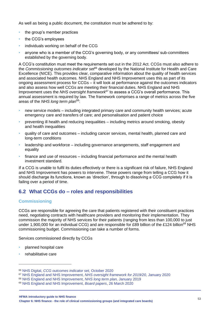As well as being a public document, the constitution must be adhered to by:

- the group's member practices
- the CCG's employees
- individuals working on behalf of the CCG
- anyone who is a member of the CCG's governing body, or any committees/ sub-committees established by the governing body.

A CCG's constitution must meet the requirements set out in the 2012 Act. CCGs must also adhere to the *Commissioning outcomes indicator set*<sup>66</sup> developed by the National Institute for Health and Care Excellence (NICE). This provides clear, comparative information about the quality of health services and associated health outcomes. NHS England and NHS Improvement uses this as part of its ongoing assessment process for CCGs – it will look at performance against the outcomes indicators and also assess how well CCGs are meeting their financial duties. NHS England and NHS Improvement uses the *NHS oversight framework*<sup>67</sup> to assess a CCG's overall performance. This annual assessment is required by law. The framework comprises a range of metrics across the five areas of the *NHS long term plan*<sup>68</sup>:

- new service models including integrated primary care and community health services; acute emergency care and transfers of care; and personalisation and patient choice
- preventing ill health and reducing inequalities including metrics around smoking, obesity and health inequalities
- quality of care and outcomes including cancer services, mental health, planned care and long-term conditions
- leadership and workforce including governance arrangements, staff engagement and equality
- finance and use of resources including financial performance and the mental health investment standard.

If a CCG is unable to fulfil its duties effectively or there is a significant risk of failure, NHS England and NHS Improvement has powers to intervene. These powers range from telling a CCG how it should discharge its functions, known as 'direction', through to dissolving a CCG completely if it is failing over a period of time.

# **6.2 What CCGs do – roles and responsibilities**

### **Commissioning**

CCGs are responsible for agreeing the care that patients registered with their constituent practices need, negotiating contracts with healthcare providers and monitoring their implementation. They commission the majority of NHS services for their patients (ranging from less than 100,000 to just under 1,900,000 for an individual CCG) and are responsible for £89 billion of the £124 billion<sup>69</sup> NHS commissioning budget. Commissioning can take a number of forms.

Services commissioned directly by CCGs

- planned hospital care
- rehabilitative care

<sup>66</sup> NHS Digital, *[CCG outcomes indicator set,](https://digital.nhs.uk/data-and-information/publications/statistical/ccg-outcomes-indicator-set/october-2020)* October 2020

<sup>67</sup> NHS England and NHS Improvement, *[NHS oversight framework for 2019/20,](https://www.england.nhs.uk/publication/nhs-oversight-framework-for-2019-20/)* January 2020

<sup>68</sup> [NHS England and NHS Improvement,](https://www.longtermplan.nhs.uk/publication/nhs-long-term-plan/) *NHS long term plan,* January 2019

<sup>69</sup> [NHS England and NHS Improvement,](https://www.england.nhs.uk/publication/nhs-england-and-nhs-improvement-board-meetings-in-common-agenda-and-papers-26-march-2020/) *Board papers*, 26 March 2020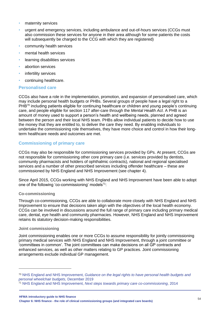- maternity services
- urgent and emergency services, including ambulance and out-of-hours services (CCGs must also commission these services for anyone in their area although for some patients the costs will subsequently be charged to the CCG with which they are registered)
- community health services
- mental health services
- learning disabilities services
- abortion services
- infertility services
- continuing healthcare.

#### **Personalised care**

CCGs also have a role in the implementation, promotion, and expansion of personalised care, which may include personal health budgets or PHBs. Several groups of people have a legal right to a PHB<sup>70</sup> including patients eligible for continuing healthcare or children and young people's continuing care, and people eligible for section 117 after-care through the *Mental Health Act*. A PHB is an amount of money used to support a person's health and wellbeing needs, planned and agreed between the person and their local NHS team. PHBs allow individual patients to decide how to use the money that they are entitled to, to deliver the care they need. By enabling individuals to undertake the commissioning role themselves, they have more choice and control in how their longterm healthcare needs and outcomes are met.

### **Commissioning of primary care**

CCGs may also be responsible for commissioning services provided by GPs. At present, CCGs are not responsible for commissioning other core primary care (i.e. services provided by dentists, community pharmacists and holders of ophthalmic contracts), national and regional specialised services and a number of other prescribed services including offender healthcare – these are commissioned by NHS England and NHS Improvement (see chapter 4).

Since April 2015, CCGs working with NHS England and NHS Improvement have been able to adopt one of the following 'co-commissioning' models $71$ :

#### **Co-commissioning**

Through co-commissioning, CCGs are able to collaborate more closely with NHS England and NHS Improvement to ensure that decisions taken align with the objectives of the local health economy. CCGs can be involved in discussions around the full range of primary care including primary medical care, dental, eye health and community pharmacies. However, NHS England and NHS Improvement retains its statutory decision-making responsibilities.

#### **Joint commissioning**

Joint commissioning enables one or more CCGs to assume responsibility for jointly commissioning primary medical services with NHS England and NHS Improvement, through a joint committee or 'committees in common'. The joint committees can make decisions on all GP contracts and enhanced services, as well as other matters relating to GP practices. Joint commissioning arrangements exclude individual GP management.

<sup>70</sup> NHS England and NHS Improvement, *[Guidance on the legal rights to have personal health budgets and](https://www.england.nhs.uk/wp-content/uploads/2014/09/guidance-on-the-legal-rights-to-personal-health-budgets.pdf)  [personal wheelchair budgets,](https://www.england.nhs.uk/wp-content/uploads/2014/09/guidance-on-the-legal-rights-to-personal-health-budgets.pdf)* December 2019

<sup>71</sup> NHS England and NHS Improvement, *[Next steps towards primary care co-commissioning](https://www.england.nhs.uk/commissioning/pc-co-comms/)*, 2014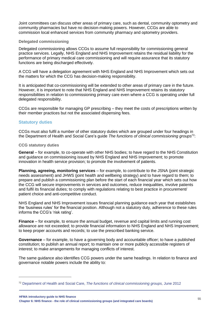Joint committees can discuss other areas of primary care, such as dental, community optometry and community pharmacies but have no decision-making powers. However, CCGs are able to commission local enhanced services from community pharmacy and optometry providers.

#### **Delegated commissioning**

Delegated commissioning allows CCGs to assume full responsibility for commissioning general practice services. Legally, NHS England and NHS Improvement retains the residual liability for the performance of primary medical care commissioning and will require assurance that its statutory functions are being discharged effectively.

A CCG will have a delegation agreement with NHS England and NHS Improvement which sets out the matters for which the CCG has decision-making responsibility.

It is anticipated that co-commissioning will be extended to other areas of primary care in the future. However, it is important to note that NHS England and NHS Improvement retains its statutory responsibilities in relation to commissioning primary care even where a CCG is operating under full delegated responsibility.

CCGs are responsible for managing GP prescribing – they meet the costs of prescriptions written by their member practices but not the associated dispensing fees.

#### **Statutory duties**

CCGs must also fulfil a number of other statutory duties which are grouped under four headings in the Department of Health and Social Care's guide *The functions of clinical commissioning groups*<sup>72</sup>:

#### **CCG statutory duties**

**General** – for example, to co-operate with other NHS bodies; to have regard to the NHS Constitution and guidance on commissioning issued by NHS England and NHS Improvement; to promote innovation in health service provision; to promote the involvement of patients.

**Planning, agreeing, monitoring services** – for example, to contribute to the JSNA (joint strategic needs assessment) and JHWS (joint health and wellbeing strategy) and to have regard to them; to prepare and publish a commissioning plan before the start of each financial year which sets out how the CCG will secure improvements in services and outcomes, reduce inequalities, involve patients and fulfil its financial duties; to comply with regulations relating to best practice in procurement/ patient choice and anti-competitive conduct.

NHS England and NHS Improvement issues financial planning guidance each year that establishes the 'business rules' for the financial position. Although not a statutory duty, adherence to these rules informs the CCG's 'risk rating'.

**Finance** – for example, to ensure the annual budget, revenue and capital limits and running cost allowance are not exceeded; to provide financial information to NHS England and NHS Improvement; to keep proper accounts and records; to use the prescribed banking service.

**Governance** – for example, to have a governing body and accountable officer; to have a published constitution; to publish an annual report; to maintain one or more publicly accessible registers of interest; to make arrangements for managing conflicts of interest.

The same guidance also identifies CCG powers under the same headings. In relation to finance and governance notable powers include the ability to:

**HFMA introductory guide to NHS finance Chapter 6: NHS finance - the role of clinical commissioning groups (and integrated care boards)** <sup>55</sup>

<sup>72</sup> Department of Health and Social Care, *[The functions of clinical commissioning groups,](https://www.gov.uk/government/publications/the-functions-of-clinical-commissioning-groups-updated-to-reflect-the-final-health-and-social-care-act-2012)* June 2012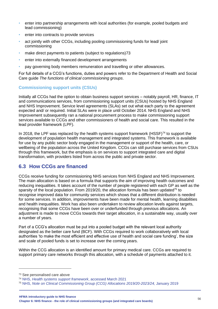- enter into partnership arrangements with local authorities (for example, pooled budgets and lead commissioning)
- enter into contracts to provide services
- act jointly with other CCGs, including pooling commissioning funds for lead/ joint commissioning
- make direct payments to patients (subject to regulations)73
- enter into externally financed development arrangements
- pay governing body members remuneration and travelling or other allowances.

For full details of a CCG's functions, duties and powers refer to the Department of Health and Social Care guide *The functions of clinical commissioning groups*.

# **Commissioning support units (CSUs)**

Initially all CCGs had the option to obtain business support services – notably payroll, HR, finance, IT and communications services, from commissioning support units (CSUs) hosted by NHS England and NHS Improvement. Service level agreements (SLAs) set out what each party to the agreement expected and/ or required. Initial SLAs were in place until October 2014. NHS England and NHS Improvement subsequently ran a national procurement process to make commissioning support services available to CCGs and other commissioners of health and social care. This resulted in the lead provider framework (LPF).

In 2018, the LPF was replaced by the health systems support framework (HSSF) $^{74}$  to support the development of population health management and integrated systems. This framework is available for use by any public sector body engaged in the management or support of the health, care, or wellbeing of the population across the United Kingdom. CCGs can still purchase services from CSUs through this framework, but the emphasis is on services to support integrated care and digital transformation, with providers listed from across the public and private sector.

# **6.3 How CCGs are financed**

CCGs receive funding for commissioning NHS services from NHS England and NHS Improvement. The main allocation is based on a formula that supports the aim of improving health outcomes and reducing inequalities. It takes account of the number of people registered with each GP as well as the sparsity of the local population. From 2019/20, the allocation formula has been updated<sup>75</sup> to recognise improved data for community services which shows that a different distribution is needed for some services. In addition, improvements have been made for mental health, learning disabilities and health inequalities. Work has also been undertaken to review allocation levels against targets, recognising that some CCGs have been over or underfunded through previous allocations. An adjustment is made to move CCGs towards their target allocation, in a sustainable way, usually over a number of years.

Part of a CCG's allocation must be put into a pooled budget with the relevant local authority designated as the better care fund (BCF). With CCGs required to work collaboratively with local authorities 'to make the most efficient and effective use of health and social care funding', the size and scale of pooled funds is set to increase over the coming years.

Within the CCG allocation is an identified amount for primary medical care. CCGs are required to support primary care networks through this allocation, with a schedule of payments attached to it.

**HFMA introductory guide to NHS finance Chapter 6: NHS finance - the role of clinical commissioning groups (and integrated care boards)** <sup>56</sup>

<sup>73</sup> See personalised care above

<sup>74</sup> NHS, *[Health systems support framework](https://www.england.nhs.uk/hssf/)*, accessed March 2021

<sup>75</sup> NHS, *[Note on Clinical Commissioning Group \(CCG\) Allocations 2019/20-2023/24,](https://www.england.nhs.uk/publication/note-on-ccg-allocations-2019-20-to-2023-24/)* January 2019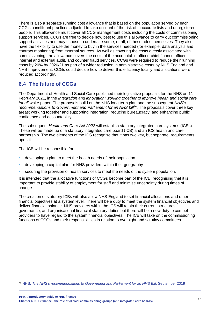There is also a separate running cost allowance that is based on the population served by each CCG's constituent practices adjusted to take account of the risk of inaccurate lists and unregistered people. This allowance must cover all CCG management costs including the costs of commissioning support services. CCGs are free to decide how best to use this allowance to carry out commissioning support activities and may choose to undertake some, or all, of these roles themselves. They also have the flexibility to use the money to buy in the services needed (for example, data analysis and contract monitoring) from external sources. As well as covering the costs directly associated with commissioning, the allowance covers the costs of the accountable officer, chief finance officer, internal and external audit, and counter fraud services. CCGs were required to reduce their running costs by 20% by 2020/21 as part of a wider reduction in administrative costs by NHS England and NHS Improvement. CCGs could decide how to deliver this efficiency locally and allocations were reduced accordingly.

# **6.4 The future of CCGs**

The Department of Health and Social Care published their legislative proposals for the NHS on 11 February 2021, in the *Integration and innovation: working together to improve health and social care for all* white paper. The proposals build on the NHS long term plan and the subsequent *NHS's*  recommendations to Government and Parliament for an NHS bill<sup>76</sup>. The proposals cover three key areas; working together and supporting integration; reducing bureaucracy; and enhancing public confidence and accountability.

The subsequent *Health and Care Act 2022* will establish statutory integrated care systems (ICSs). These will be made up of a statutory integrated care board (ICB) and an ICS health and care partnership. The two elements of the ICS recognise that it has two key, but separate, requirements upon it.

The ICB will be responsible for:

- developing a plan to meet the health needs of their population
- developing a capital plan for NHS providers within their geography
- securing the provision of health services to meet the needs of the system population.

It is intended that the allocative functions of CCGs become part of the ICB, recognising that it is important to provide stability of employment for staff and minimise uncertainty during times of change.

The creation of statutory ICBs will also allow NHS England to set financial allocations and other financial objectives at a system level. There will be a duty to meet the system financial objectives and deliver financial balance. NHS providers within the ICS will retain their current structures, governance, and organisational financial statutory duties but there will be a new duty to compel providers to have regard to the system financial objectives. The ICB will take on the commissioning functions of CCGs and their responsibilities in relation to oversight and scrutiny committees.

<sup>76</sup> NHS, *[The NHS's recommendations to Government and Parliament for an NHS Bill](https://www.england.nhs.uk/wp-content/uploads/2019/09/BM1917-NHS-recommendations-Government-Parliament-for-an-NHS-Bill.pdf)*, September 2019